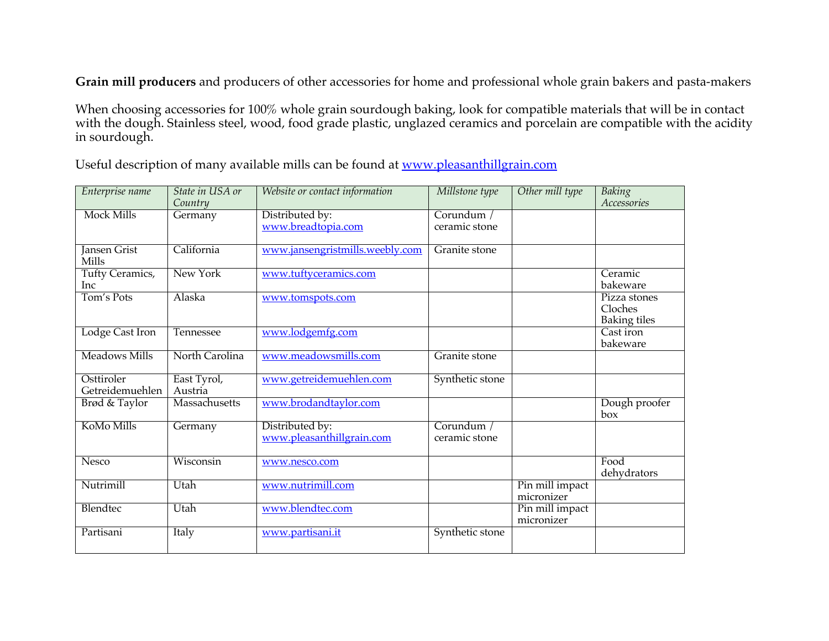**Grain mill producers** and producers of other accessories for home and professional whole grain bakers and pasta-makers

When choosing accessories for 100% whole grain sourdough baking, look for compatible materials that will be in contact with the dough. Stainless steel, wood, food grade plastic, unglazed ceramics and porcelain are compatible with the acidity in sourdough.

Useful description of many available mills can be found at www.pleasanthillgrain.com

| Enterprise name               | State in USA or<br>Country | Website or contact information               | Millstone type              | Other mill type               | <b>Baking</b><br>Accessories                   |
|-------------------------------|----------------------------|----------------------------------------------|-----------------------------|-------------------------------|------------------------------------------------|
| <b>Mock Mills</b>             | Germany                    | Distributed by:<br>www.breadtopia.com        | Corundum /<br>ceramic stone |                               |                                                |
| Jansen Grist<br>Mills         | California                 | www.jansengristmills.weebly.com              | Granite stone               |                               |                                                |
| Tufty Ceramics,<br>Inc        | New York                   | www.tuftyceramics.com                        |                             |                               | Ceramic<br>bakeware                            |
| Tom's Pots                    | Alaska                     | www.tomspots.com                             |                             |                               | Pizza stones<br>Cloches<br><b>Baking tiles</b> |
| Lodge Cast Iron               | Tennessee                  | www.lodgemfg.com                             |                             |                               | Cast iron<br>bakeware                          |
| <b>Meadows Mills</b>          | North Carolina             | www.meadowsmills.com                         | Granite stone               |                               |                                                |
| Osttiroler<br>Getreidemuehlen | East Tyrol,<br>Austria     | www.getreidemuehlen.com                      | Synthetic stone             |                               |                                                |
| Brød & Taylor                 | Massachusetts              | www.brodandtaylor.com                        |                             |                               | Dough proofer<br>box                           |
| KoMo Mills                    | Germany                    | Distributed by:<br>www.pleasanthillgrain.com | Corundum /<br>ceramic stone |                               |                                                |
| <b>Nesco</b>                  | Wisconsin                  | www.nesco.com                                |                             |                               | Food<br>dehydrators                            |
| Nutrimill                     | Utah                       | www.nutrimill.com                            |                             | Pin mill impact<br>micronizer |                                                |
| Blendtec                      | Utah                       | www.blendtec.com                             |                             | Pin mill impact<br>micronizer |                                                |
| Partisani                     | Italy                      | www.partisani.it                             | Synthetic stone             |                               |                                                |